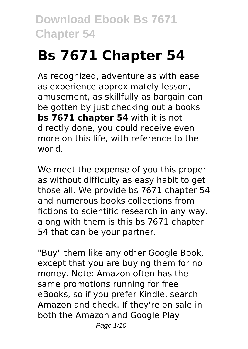# **Bs 7671 Chapter 54**

As recognized, adventure as with ease as experience approximately lesson, amusement, as skillfully as bargain can be gotten by just checking out a books **bs 7671 chapter 54** with it is not directly done, you could receive even more on this life, with reference to the world.

We meet the expense of you this proper as without difficulty as easy habit to get those all. We provide bs 7671 chapter 54 and numerous books collections from fictions to scientific research in any way. along with them is this bs 7671 chapter 54 that can be your partner.

"Buy" them like any other Google Book, except that you are buying them for no money. Note: Amazon often has the same promotions running for free eBooks, so if you prefer Kindle, search Amazon and check. If they're on sale in both the Amazon and Google Play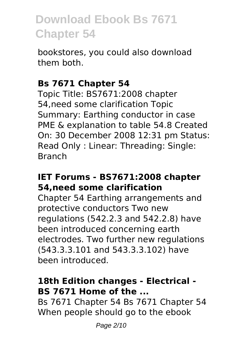bookstores, you could also download them both.

#### **Bs 7671 Chapter 54**

Topic Title: BS7671:2008 chapter 54,need some clarification Topic Summary: Earthing conductor in case PME & explanation to table 54.8 Created On: 30 December 2008 12:31 pm Status: Read Only : Linear: Threading: Single: Branch

### **IET Forums - BS7671:2008 chapter 54,need some clarification**

Chapter 54 Earthing arrangements and protective conductors Two new regulations (542.2.3 and 542.2.8) have been introduced concerning earth electrodes. Two further new regulations (543.3.3.101 and 543.3.3.102) have been introduced.

### **18th Edition changes - Electrical - BS 7671 Home of the ...**

Bs 7671 Chapter 54 Bs 7671 Chapter 54 When people should go to the ebook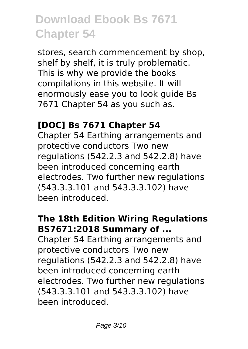stores, search commencement by shop, shelf by shelf, it is truly problematic. This is why we provide the books compilations in this website. It will enormously ease you to look guide Bs 7671 Chapter 54 as you such as.

# **[DOC] Bs 7671 Chapter 54**

Chapter 54 Earthing arrangements and protective conductors Two new regulations (542.2.3 and 542.2.8) have been introduced concerning earth electrodes. Two further new regulations (543.3.3.101 and 543.3.3.102) have been introduced.

#### **The 18th Edition Wiring Regulations BS7671:2018 Summary of ...**

Chapter 54 Earthing arrangements and protective conductors Two new regulations (542.2.3 and 542.2.8) have been introduced concerning earth electrodes. Two further new regulations (543.3.3.101 and 543.3.3.102) have been introduced.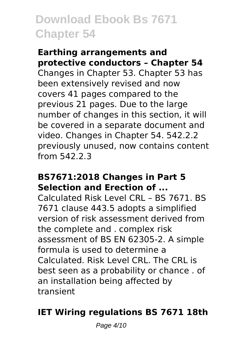#### **Earthing arrangements and protective conductors – Chapter 54**

Changes in Chapter 53. Chapter 53 has been extensively revised and now covers 41 pages compared to the previous 21 pages. Due to the large number of changes in this section, it will be covered in a separate document and video. Changes in Chapter 54. 542.2.2 previously unused, now contains content from 542.2.3

#### **BS7671:2018 Changes in Part 5 Selection and Erection of ...**

Calculated Risk Level CRL – BS 7671. BS 7671 clause 443.5 adopts a simplified version of risk assessment derived from the complete and . complex risk assessment of BS EN 62305-2. A simple formula is used to determine a Calculated. Risk Level CRL. The CRL is best seen as a probability or chance . of an installation being affected by transient

# **IET Wiring regulations BS 7671 18th**

Page 4/10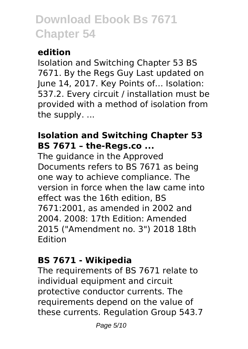# **edition**

Isolation and Switching Chapter 53 BS 7671. By the Regs Guy Last updated on June 14, 2017. Key Points of… Isolation: 537.2. Every circuit / installation must be provided with a method of isolation from the supply. ...

# **Isolation and Switching Chapter 53 BS 7671 – the-Regs.co ...**

The guidance in the Approved Documents refers to BS 7671 as being one way to achieve compliance. The version in force when the law came into effect was the 16th edition, BS 7671:2001, as amended in 2002 and 2004. 2008: 17th Edition: Amended 2015 ("Amendment no. 3") 2018 18th Edition

# **BS 7671 - Wikipedia**

The requirements of BS 7671 relate to individual equipment and circuit protective conductor currents. The requirements depend on the value of these currents. Regulation Group 543.7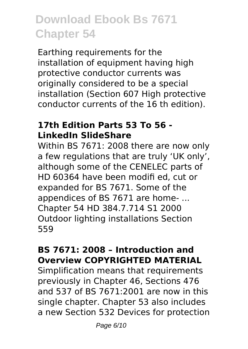Earthing requirements for the installation of equipment having high protective conductor currents was originally considered to be a special installation (Section 607 High protective conductor currents of the 16 th edition).

### **17th Edition Parts 53 To 56 - LinkedIn SlideShare**

Within BS 7671: 2008 there are now only a few regulations that are truly 'UK only', although some of the CENELEC parts of HD 60364 have been modifi ed, cut or expanded for BS 7671. Some of the appendices of BS 7671 are home- ... Chapter 54 HD 384.7.714 S1 2000 Outdoor lighting installations Section 559

### **BS 7671: 2008 – Introduction and Overview COPYRIGHTED MATERIAL**

Simplification means that requirements previously in Chapter 46, Sections 476 and 537 of BS 7671:2001 are now in this single chapter. Chapter 53 also includes a new Section 532 Devices for protection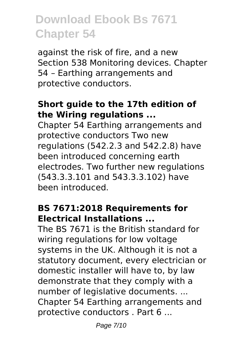against the risk of fire, and a new Section 538 Monitoring devices. Chapter 54 – Earthing arrangements and protective conductors.

# **Short guide to the 17th edition of the Wiring regulations ...**

Chapter 54 Earthing arrangements and protective conductors Two new regulations (542.2.3 and 542.2.8) have been introduced concerning earth electrodes. Two further new regulations (543.3.3.101 and 543.3.3.102) have been introduced.

### **BS 7671:2018 Requirements for Electrical Installations ...**

The BS 7671 is the British standard for wiring regulations for low voltage systems in the UK. Although it is not a statutory document, every electrician or domestic installer will have to, by law demonstrate that they comply with a number of legislative documents. ... Chapter 54 Earthing arrangements and protective conductors . Part 6 ...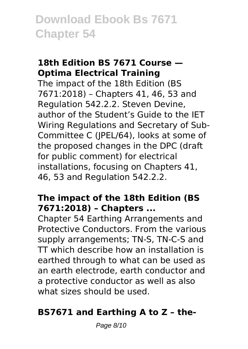# **18th Edition BS 7671 Course — Optima Electrical Training**

The impact of the 18th Edition (BS 7671:2018) – Chapters 41, 46, 53 and Regulation 542.2.2. Steven Devine, author of the Student's Guide to the IET Wiring Regulations and Secretary of Sub-Committee C (JPEL/64), looks at some of the proposed changes in the DPC (draft for public comment) for electrical installations, focusing on Chapters 41, 46, 53 and Regulation 542.2.2.

# **The impact of the 18th Edition (BS 7671:2018) – Chapters ...**

Chapter 54 Earthing Arrangements and Protective Conductors. From the various supply arrangements; TN-S, TN-C-S and TT which describe how an installation is earthed through to what can be used as an earth electrode, earth conductor and a protective conductor as well as also what sizes should be used.

# **BS7671 and Earthing A to Z – the-**

Page 8/10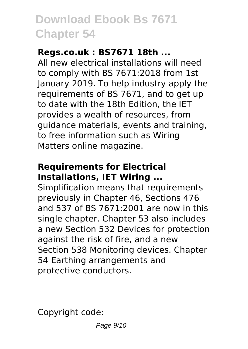# **Regs.co.uk : BS7671 18th ...**

All new electrical installations will need to comply with BS 7671:2018 from 1st January 2019. To help industry apply the requirements of BS 7671, and to get up to date with the 18th Edition, the IET provides a wealth of resources, from guidance materials, events and training, to free information such as Wiring Matters online magazine.

# **Requirements for Electrical Installations, IET Wiring ...**

Simplification means that requirements previously in Chapter 46, Sections 476 and 537 of BS 7671:2001 are now in this single chapter. Chapter 53 also includes a new Section 532 Devices for protection against the risk of fire, and a new Section 538 Monitoring devices. Chapter 54 Earthing arrangements and protective conductors.

Copyright code: